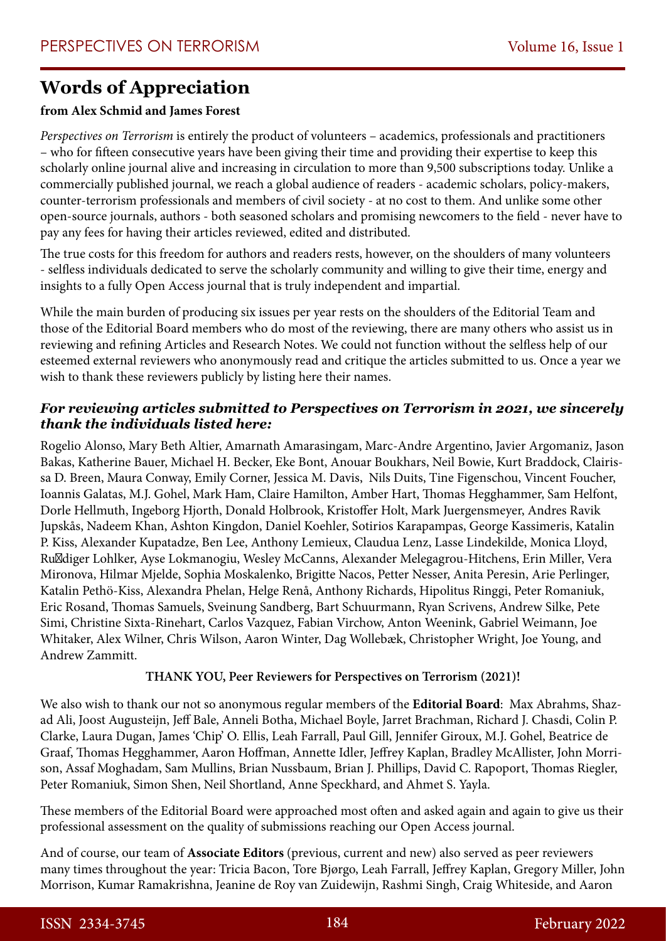## **Words of Appreciation**

## **from Alex Schmid and James Forest**

*Perspectives on Terrorism* is entirely the product of volunteers – academics, professionals and practitioners – who for fifteen consecutive years have been giving their time and providing their expertise to keep this scholarly online journal alive and increasing in circulation to more than 9,500 subscriptions today. Unlike a commercially published journal, we reach a global audience of readers - academic scholars, policy-makers, counter-terrorism professionals and members of civil society - at no cost to them. And unlike some other open-source journals, authors - both seasoned scholars and promising newcomers to the field - never have to pay any fees for having their articles reviewed, edited and distributed.

The true costs for this freedom for authors and readers rests, however, on the shoulders of many volunteers - selfless individuals dedicated to serve the scholarly community and willing to give their time, energy and insights to a fully Open Access journal that is truly independent and impartial.

While the main burden of producing six issues per year rests on the shoulders of the Editorial Team and those of the Editorial Board members who do most of the reviewing, there are many others who assist us in reviewing and refining Articles and Research Notes. We could not function without the selfless help of our esteemed external reviewers who anonymously read and critique the articles submitted to us. Once a year we wish to thank these reviewers publicly by listing here their names.

## *For reviewing articles submitted to Perspectives on Terrorism in 2021, we sincerely thank the individuals listed here:*

Rogelio Alonso, Mary Beth Altier, Amarnath Amarasingam, Marc-Andre Argentino, Javier Argomaniz, Jason Bakas, Katherine Bauer, Michael H. Becker, Eke Bont, Anouar Boukhars, Neil Bowie, Kurt Braddock, Clairissa D. Breen, Maura Conway, Emily Corner, Jessica M. Davis, Nils Duits, Tine Figenschou, Vincent Foucher, Ioannis Galatas, M.J. Gohel, Mark Ham, Claire Hamilton, Amber Hart, Thomas Hegghammer, Sam Helfont, Dorle Hellmuth, Ingeborg Hjorth, Donald Holbrook, Kristoffer Holt, Mark Juergensmeyer, Andres Ravik Jupskås, Nadeem Khan, Ashton Kingdon, Daniel Koehler, Sotirios Karapampas, George Kassimeris, Katalin P. Kiss, Alexander Kupatadze, Ben Lee, Anthony Lemieux, Claudua Lenz, Lasse Lindekilde, Monica Lloyd, Rüdiger Lohlker, Ayse Lokmanogiu, Wesley McCanns, Alexander Melegagrou-Hitchens, Erin Miller, Vera Mironova, Hilmar Mjelde, Sophia Moskalenko, Brigitte Nacos, Petter Nesser, Anita Peresin, Arie Perlinger, Katalin Pethö-Kiss, Alexandra Phelan, Helge Renå, Anthony Richards, Hipolitus Ringgi, Peter Romaniuk, Eric Rosand, Thomas Samuels, Sveinung Sandberg, Bart Schuurmann, Ryan Scrivens, Andrew Silke, Pete Simi, Christine Sixta-Rinehart, Carlos Vazquez, Fabian Virchow, Anton Weenink, Gabriel Weimann, Joe Whitaker, Alex Wilner, Chris Wilson, Aaron Winter, Dag Wollebæk, Christopher Wright, Joe Young, and Andrew Zammitt.

## **THANK YOU, Peer Reviewers for Perspectives on Terrorism (2021)!**

We also wish to thank our not so anonymous regular members of the **Editorial Board**: Max Abrahms, Shazad Ali, Joost Augusteijn, Jeff Bale, Anneli Botha, Michael Boyle, Jarret Brachman, Richard J. Chasdi, Colin P. Clarke, Laura Dugan, James 'Chip' O. Ellis, Leah Farrall, Paul Gill, Jennifer Giroux, M.J. Gohel, Beatrice de Graaf, Thomas Hegghammer, Aaron Hoffman, Annette Idler, Jeffrey Kaplan, Bradley McAllister, John Morrison, Assaf Moghadam, Sam Mullins, Brian Nussbaum, Brian J. Phillips, David C. Rapoport, Thomas Riegler, Peter Romaniuk, Simon Shen, Neil Shortland, Anne Speckhard, and Ahmet S. Yayla.

These members of the Editorial Board were approached most often and asked again and again to give us their professional assessment on the quality of submissions reaching our Open Access journal.

And of course, our team of **Associate Editors** (previous, current and new) also served as peer reviewers many times throughout the year: Tricia Bacon, Tore Bjørgo, Leah Farrall, Jeffrey Kaplan, Gregory Miller, John Morrison, Kumar Ramakrishna, Jeanine de Roy van Zuidewijn, Rashmi Singh, Craig Whiteside, and Aaron